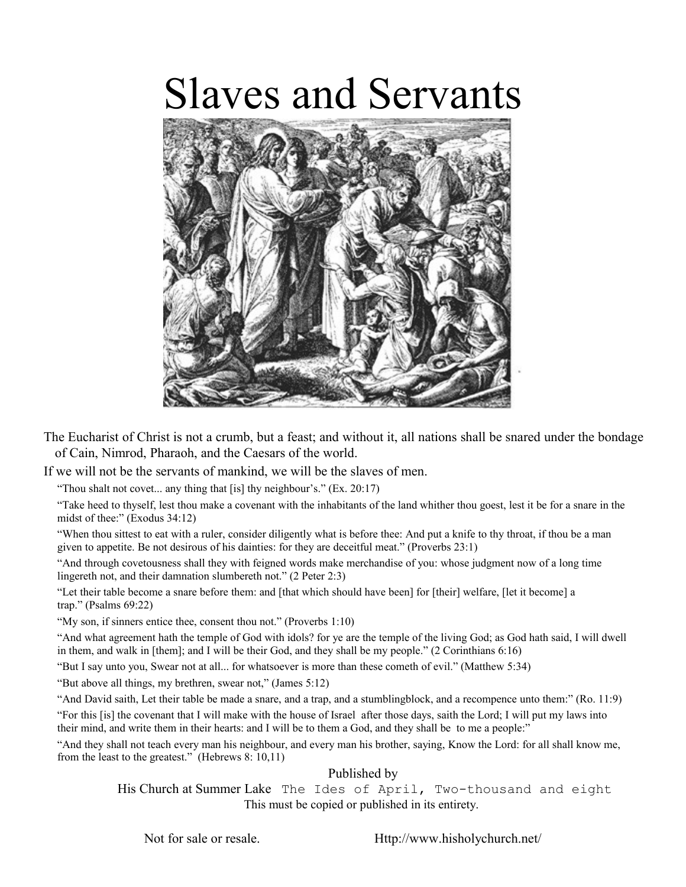# Slaves and Servants



The Eucharist of Christ is not a crumb, but a feast; and without it, all nations shall be snared under the bondage of Cain, Nimrod, Pharaoh, and the Caesars of the world.

If we will not be the servants of mankind, we will be the slaves of men.

"Thou shalt not covet... any thing that [is] thy neighbour's."  $(Ex. 20:17)$ 

"Take heed to thyself, lest thou make a covenant with the inhabitants of the land whither thou goest, lest it be for a snare in the midst of thee:" (Exodus 34:12)

"When thou sittest to eat with a ruler, consider diligently what is before thee: And put a knife to thy throat, if thou be a man given to appetite. Be not desirous of his dainties: for they are deceitful meat." (Proverbs 23:1)

"And through covetousness shall they with feigned words make merchandise of you: whose judgment now of a long time lingereth not, and their damnation slumbereth not." (2 Peter 2:3)

"Let their table become a snare before them: and [that which should have been] for [their] welfare, [let it become] a trap." (Psalms 69:22)

"My son, if sinners entice thee, consent thou not." (Proverbs 1:10)

"And what agreement hath the temple of God with idols? for ye are the temple of the living God; as God hath said, I will dwell in them, and walk in [them]; and I will be their God, and they shall be my people." (2 Corinthians 6:16)

"But I say unto you, Swear not at all... for whatsoever is more than these cometh of evil." (Matthew 5:34)

"But above all things, my brethren, swear not," (James 5:12)

"And David saith, Let their table be made a snare, and a trap, and a stumblingblock, and a recompence unto them:" (Ro. 11:9) "For this [is] the covenant that I will make with the house of Israel after those days, saith the Lord; I will put my laws into their mind, and write them in their hearts: and I will be to them a God, and they shall be to me a people:"

"And they shall not teach every man his neighbour, and every man his brother, saying, Know the Lord: for all shall know me, from the least to the greatest." (Hebrews 8: 10,11)

Published by

 His Church at Summer Lake The Ides of April, Two-thousand and eight This must be copied or published in its entirety.

Not for sale or resale. Http://www.hisholychurch.net/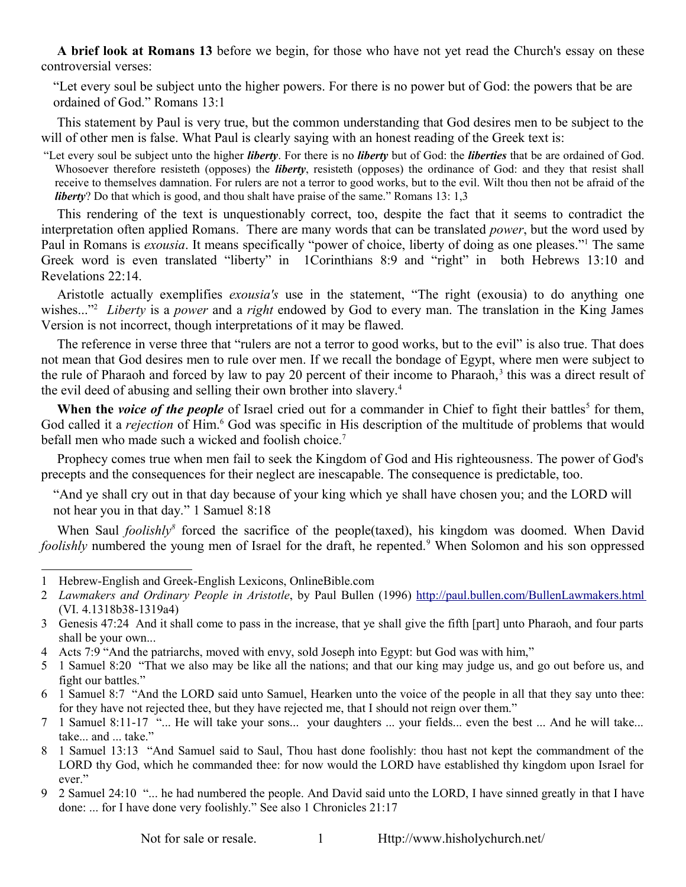**A brief look at Romans 13** before we begin, for those who have not yet read the Church's essay on these controversial verses:

"Let every soul be subject unto the higher powers. For there is no power but of God: the powers that be are ordained of God." Romans 13:1

This statement by Paul is very true, but the common understanding that God desires men to be subject to the will of other men is false. What Paul is clearly saying with an honest reading of the Greek text is:

"Let every soul be subject unto the higher *liberty*. For there is no *liberty* but of God: the *liberties* that be are ordained of God. Whosoever therefore resisteth (opposes) the *liberty*, resisteth (opposes) the ordinance of God: and they that resist shall receive to themselves damnation. For rulers are not a terror to good works, but to the evil. Wilt thou then not be afraid of the *liberty*? Do that which is good, and thou shalt have praise of the same." Romans 13: 1,3

This rendering of the text is unquestionably correct, too, despite the fact that it seems to contradict the interpretation often applied Romans. There are many words that can be translated *power*, but the word used by Paul in Romans is *exousia*. It means specifically "power of choice, liberty of doing as one pleases."<sup>[1](#page-1-0)</sup> The same Greek word is even translated "liberty" in 1Corinthians 8:9 and "right" in both Hebrews 13:10 and Revelations 22:14.

Aristotle actually exemplifies *exousia's* use in the statement, "The right (exousia) to do anything one wishes..."[2](#page-1-1) *Liberty* is a *power* and a *right* endowed by God to every man. The translation in the King James Version is not incorrect, though interpretations of it may be flawed.

The reference in verse three that "rulers are not a terror to good works, but to the evil" is also true. That does not mean that God desires men to rule over men. If we recall the bondage of Egypt, where men were subject to the rule of Pharaoh and forced by law to pay 20 percent of their income to Pharaoh,<sup>[3](#page-1-2)</sup> this was a direct result of the evil deed of abusing and selling their own brother into slavery.<sup>[4](#page-1-3)</sup>

When the *voice of the people* of Israel cried out for a commander in Chief to fight their battles<sup>[5](#page-1-4)</sup> for them, God called it a *rejection* of Him.<sup>[6](#page-1-5)</sup> God was specific in His description of the multitude of problems that would befall men who made such a wicked and foolish choice.<sup>[7](#page-1-6)</sup>

Prophecy comes true when men fail to seek the Kingdom of God and His righteousness. The power of God's precepts and the consequences for their neglect are inescapable. The consequence is predictable, too.

"And ye shall cry out in that day because of your king which ye shall have chosen you; and the LORD will not hear you in that day." 1 Samuel 8:18

When Saul *foolishly*<sup>[8](#page-1-7)</sup> forced the sacrifice of the people(taxed), his kingdom was doomed. When David *foolishly* numbered the young men of Israel for the draft, he repented.<sup>[9](#page-1-8)</sup> When Solomon and his son oppressed

<span id="page-1-0"></span><sup>1</sup> Hebrew-English and Greek-English Lexicons, OnlineBible.com

<span id="page-1-1"></span><sup>2</sup> *Lawmakers and Ordinary People in Aristotle*, by Paul Bullen (1996)<http://paul.bullen.com/BullenLawmakers.html> (VI. 4.1318b38-1319a4)

<span id="page-1-2"></span><sup>3</sup> Genesis 47:24 And it shall come to pass in the increase, that ye shall give the fifth [part] unto Pharaoh, and four parts shall be your own...

<span id="page-1-3"></span><sup>4</sup> Acts 7:9 "And the patriarchs, moved with envy, sold Joseph into Egypt: but God was with him,"

<span id="page-1-4"></span><sup>5</sup> 1 Samuel 8:20 "That we also may be like all the nations; and that our king may judge us, and go out before us, and fight our battles."

<span id="page-1-5"></span><sup>6</sup> 1 Samuel 8:7 "And the LORD said unto Samuel, Hearken unto the voice of the people in all that they say unto thee: for they have not rejected thee, but they have rejected me, that I should not reign over them."

<span id="page-1-6"></span><sup>7</sup> 1 Samuel 8:11-17 "... He will take your sons... your daughters ... your fields... even the best ... And he will take... take... and ... take."

<span id="page-1-7"></span><sup>8</sup> 1 Samuel 13:13 "And Samuel said to Saul, Thou hast done foolishly: thou hast not kept the commandment of the LORD thy God, which he commanded thee: for now would the LORD have established thy kingdom upon Israel for ever."

<span id="page-1-8"></span><sup>9</sup> 2 Samuel 24:10 "... he had numbered the people. And David said unto the LORD, I have sinned greatly in that I have done: ... for I have done very foolishly." See also 1 Chronicles 21:17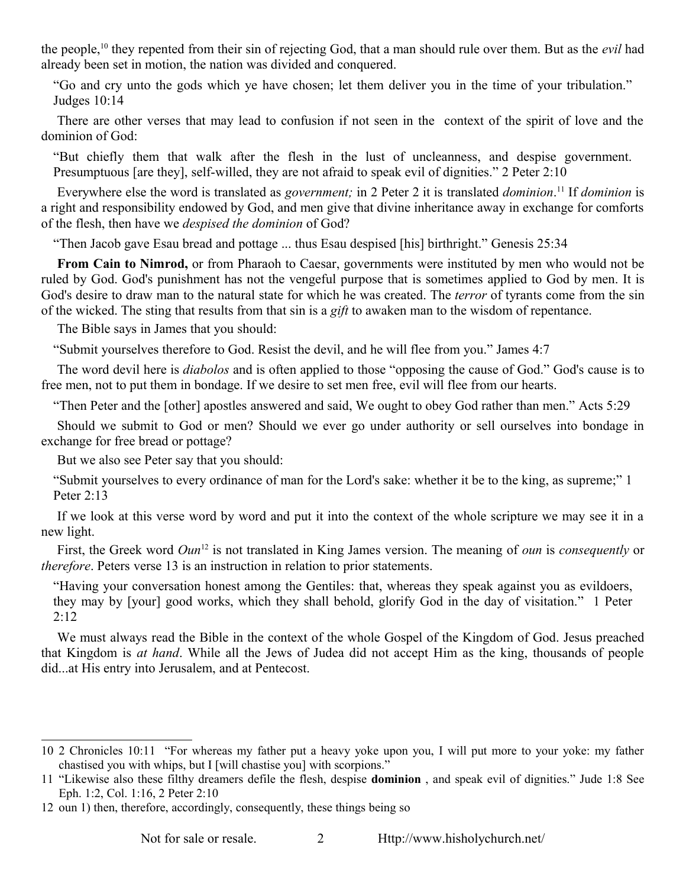the people,<sup>[10](#page-2-0)</sup> they repented from their sin of rejecting God, that a man should rule over them. But as the *evil* had already been set in motion, the nation was divided and conquered.

"Go and cry unto the gods which ye have chosen; let them deliver you in the time of your tribulation." Judges 10:14

There are other verses that may lead to confusion if not seen in the context of the spirit of love and the dominion of God:

"But chiefly them that walk after the flesh in the lust of uncleanness, and despise government. Presumptuous [are they], self-willed, they are not afraid to speak evil of dignities." 2 Peter 2:10

Everywhere else the word is translated as *government;* in 2 Peter 2 it is translated *dominion*. [11](#page-2-1) If *dominion* is a right and responsibility endowed by God, and men give that divine inheritance away in exchange for comforts of the flesh, then have we *despised the dominion* of God?

"Then Jacob gave Esau bread and pottage ... thus Esau despised [his] birthright." Genesis 25:34

**From Cain to Nimrod,** or from Pharaoh to Caesar, governments were instituted by men who would not be ruled by God. God's punishment has not the vengeful purpose that is sometimes applied to God by men. It is God's desire to draw man to the natural state for which he was created. The *terror* of tyrants come from the sin of the wicked. The sting that results from that sin is a *gift* to awaken man to the wisdom of repentance.

The Bible says in James that you should:

"Submit yourselves therefore to God. Resist the devil, and he will flee from you." James 4:7

The word devil here is *diabolos* and is often applied to those "opposing the cause of God." God's cause is to free men, not to put them in bondage. If we desire to set men free, evil will flee from our hearts.

"Then Peter and the [other] apostles answered and said, We ought to obey God rather than men." Acts 5:29

Should we submit to God or men? Should we ever go under authority or sell ourselves into bondage in exchange for free bread or pottage?

But we also see Peter say that you should:

"Submit yourselves to every ordinance of man for the Lord's sake: whether it be to the king, as supreme;" 1 Peter 2:13

If we look at this verse word by word and put it into the context of the whole scripture we may see it in a new light.

First, the Greek word *Oun*<sup>[12](#page-2-2)</sup> is not translated in King James version. The meaning of *oun* is *consequently* or *therefore*. Peters verse 13 is an instruction in relation to prior statements.

"Having your conversation honest among the Gentiles: that, whereas they speak against you as evildoers, they may by [your] good works, which they shall behold, glorify God in the day of visitation." 1 Peter 2:12

We must always read the Bible in the context of the whole Gospel of the Kingdom of God. Jesus preached that Kingdom is *at hand*. While all the Jews of Judea did not accept Him as the king, thousands of people did...at His entry into Jerusalem, and at Pentecost.

<span id="page-2-0"></span><sup>10</sup> 2 Chronicles 10:11 "For whereas my father put a heavy yoke upon you, I will put more to your yoke: my father chastised you with whips, but I [will chastise you] with scorpions."

<span id="page-2-1"></span><sup>11</sup> "Likewise also these filthy dreamers defile the flesh, despise **dominion** , and speak evil of dignities." Jude 1:8 See Eph. 1:2, Col. 1:16, 2 Peter 2:10

<span id="page-2-2"></span><sup>12</sup> oun 1) then, therefore, accordingly, consequently, these things being so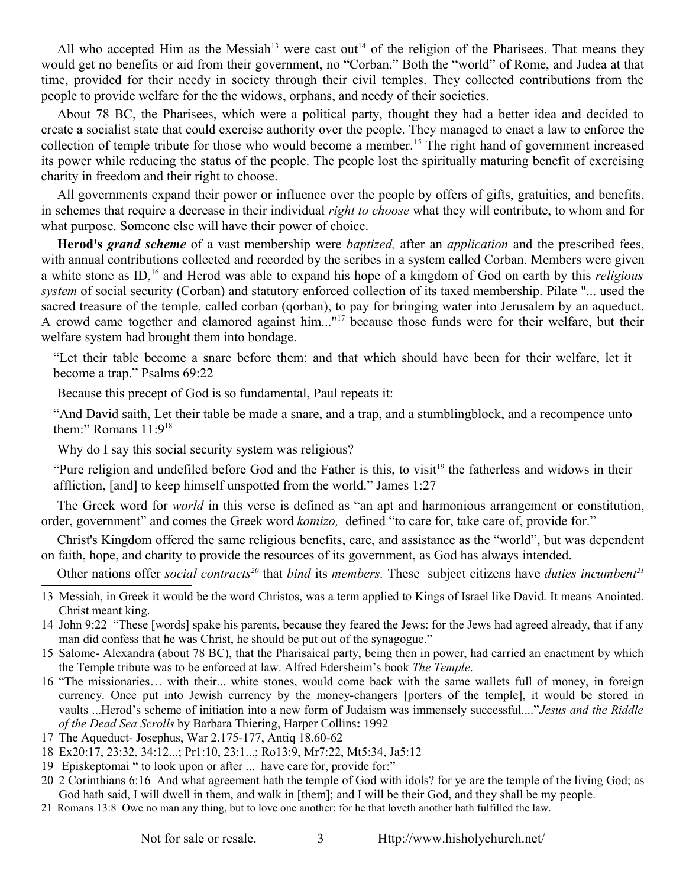All who accepted Him as the Messiah<sup>[13](#page-3-0)</sup> were cast out<sup>[14](#page-3-1)</sup> of the religion of the Pharisees. That means they would get no benefits or aid from their government, no "Corban." Both the "world" of Rome, and Judea at that time, provided for their needy in society through their civil temples. They collected contributions from the people to provide welfare for the the widows, orphans, and needy of their societies.

About 78 BC, the Pharisees, which were a political party, thought they had a better idea and decided to create a socialist state that could exercise authority over the people. They managed to enact a law to enforce the collection of temple tribute for those who would become a member.<sup>[15](#page-3-2)</sup> The right hand of government increased its power while reducing the status of the people. The people lost the spiritually maturing benefit of exercising charity in freedom and their right to choose.

All governments expand their power or influence over the people by offers of gifts, gratuities, and benefits, in schemes that require a decrease in their individual *right to choose* what they will contribute, to whom and for what purpose. Someone else will have their power of choice.

**Herod's** *grand scheme* of a vast membership were *baptized,* after an *application* and the prescribed fees, with annual contributions collected and recorded by the scribes in a system called Corban. Members were given a white stone as ID,[16](#page-3-3) and Herod was able to expand his hope of a kingdom of God on earth by this *religious system* of social security (Corban) and statutory enforced collection of its taxed membership. Pilate "... used the sacred treasure of the temple, called corban (qorban), to pay for bringing water into Jerusalem by an aqueduct. A crowd came together and clamored against him..."[17](#page-3-4) because those funds were for their welfare, but their welfare system had brought them into bondage.

"Let their table become a snare before them: and that which should have been for their welfare, let it become a trap." Psalms 69:22

Because this precept of God is so fundamental, Paul repeats it:

"And David saith, Let their table be made a snare, and a trap, and a stumblingblock, and a recompence unto them:" Romans 11:9[18](#page-3-5)

Why do I say this social security system was religious?

"Pure religion and undefiled before God and the Father is this, to visit<sup>[19](#page-3-6)</sup> the fatherless and widows in their affliction, [and] to keep himself unspotted from the world." James 1:27

The Greek word for *world* in this verse is defined as "an apt and harmonious arrangement or constitution, order, government" and comes the Greek word *komizo,* defined "to care for, take care of, provide for."

Christ's Kingdom offered the same religious benefits, care, and assistance as the "world", but was dependent on faith, hope, and charity to provide the resources of its government, as God has always intended.

Other nations offer *social contracts[20](#page-3-7)* that *bind* its *members.* These subject citizens have *duties incumbent[21](#page-3-8)*

- <span id="page-3-0"></span>13 Messiah, in Greek it would be the word Christos, was a term applied to Kings of Israel like David. It means Anointed. Christ meant king.
- <span id="page-3-1"></span>14 John 9:22 "These [words] spake his parents, because they feared the Jews: for the Jews had agreed already, that if any man did confess that he was Christ, he should be put out of the synagogue."
- <span id="page-3-2"></span>15 Salome- Alexandra (about 78 BC), that the Pharisaical party, being then in power, had carried an enactment by which the Temple tribute was to be enforced at law. Alfred Edersheim's book *The Temple*.
- <span id="page-3-3"></span>16 "The missionaries… with their... white stones, would come back with the same wallets full of money, in foreign currency. Once put into Jewish currency by the money-changers [porters of the temple], it would be stored in vaults ...Herod's scheme of initiation into a new form of Judaism was immensely successful...."*Jesus and the Riddle of the Dead Sea Scrolls* by Barbara Thiering, Harper Collins**:** 1992
- <span id="page-3-4"></span>17 The Aqueduct- Josephus, War 2.175-177, Antiq 18.60-62
- <span id="page-3-5"></span>18 Ex20:17, 23:32, 34:12...; Pr1:10, 23:1...; Ro13:9, Mr7:22, Mt5:34, Ja5:12
- <span id="page-3-6"></span>19 Episkeptomai " to look upon or after ... have care for, provide for:"
- <span id="page-3-7"></span>20 2 Corinthians 6:16 And what agreement hath the temple of God with idols? for ye are the temple of the living God; as God hath said, I will dwell in them, and walk in [them]; and I will be their God, and they shall be my people.
- <span id="page-3-8"></span>21 Romans 13:8 Owe no man any thing, but to love one another: for he that loveth another hath fulfilled the law.

Not for sale or resale. 3 Http://www.hisholychurch.net/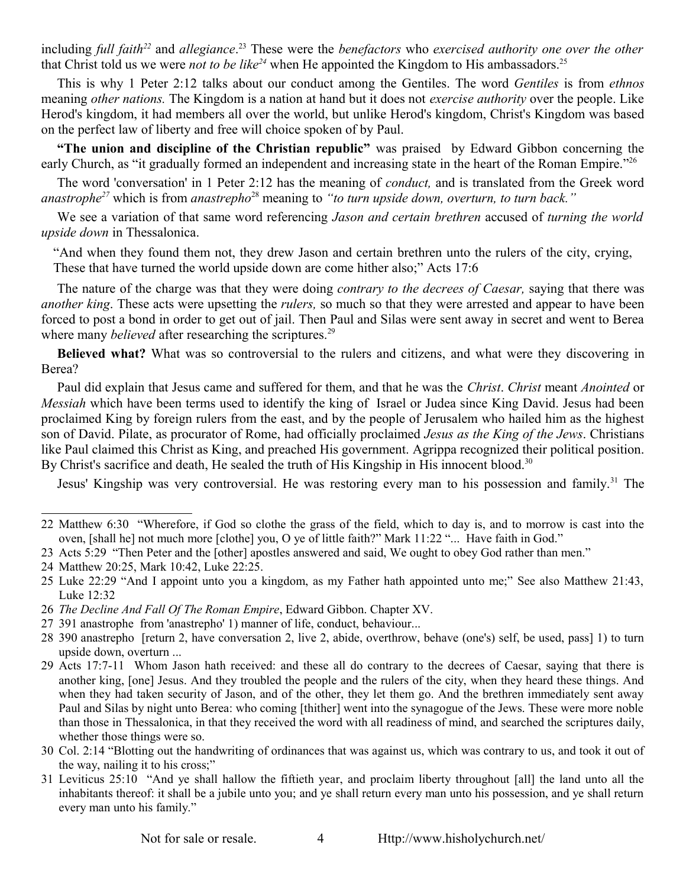including *full faith[22](#page-4-0)* and *allegiance*. [23](#page-4-1) These were the *benefactors* who *exercised authority one over the other* that Christ told us we were *not to be like*<sup>[24](#page-4-2)</sup> when He appointed the Kingdom to His ambassadors.<sup>[25](#page-4-3)</sup>

This is why 1 Peter 2:12 talks about our conduct among the Gentiles. The word *Gentiles* is from *ethnos* meaning *other nations.* The Kingdom is a nation at hand but it does not *exercise authority* over the people. Like Herod's kingdom, it had members all over the world, but unlike Herod's kingdom, Christ's Kingdom was based on the perfect law of liberty and free will choice spoken of by Paul.

**"The union and discipline of the Christian republic"** was praised by Edward Gibbon concerning the early Church, as "it gradually formed an independent and increasing state in the heart of the Roman Empire."[26](#page-4-4)

The word 'conversation' in 1 Peter 2:12 has the meaning of *conduct,* and is translated from the Greek word *anastrophe[27](#page-4-5)* which is from *anastrepho*[28](#page-4-6) meaning to *"to turn upside down, overturn, to turn back."* 

We see a variation of that same word referencing *Jason and certain brethren* accused of *turning the world upside down* in Thessalonica.

"And when they found them not, they drew Jason and certain brethren unto the rulers of the city, crying, These that have turned the world upside down are come hither also;" Acts 17:6

The nature of the charge was that they were doing *contrary to the decrees of Caesar,* saying that there was *another king*. These acts were upsetting the *rulers,* so much so that they were arrested and appear to have been forced to post a bond in order to get out of jail. Then Paul and Silas were sent away in secret and went to Berea where many *believed* after researching the scriptures.<sup>[29](#page-4-7)</sup>

**Believed what?** What was so controversial to the rulers and citizens, and what were they discovering in Berea?

Paul did explain that Jesus came and suffered for them, and that he was the *Christ*. *Christ* meant *Anointed* or *Messiah* which have been terms used to identify the king of Israel or Judea since King David. Jesus had been proclaimed King by foreign rulers from the east, and by the people of Jerusalem who hailed him as the highest son of David. Pilate, as procurator of Rome, had officially proclaimed *Jesus as the King of the Jews*. Christians like Paul claimed this Christ as King, and preached His government. Agrippa recognized their political position. By Christ's sacrifice and death, He sealed the truth of His Kingship in His innocent blood.<sup>[30](#page-4-8)</sup>

Jesus' Kingship was very controversial. He was restoring every man to his possession and family.<sup>[31](#page-4-9)</sup> The

<span id="page-4-0"></span><sup>22</sup> Matthew 6:30 "Wherefore, if God so clothe the grass of the field, which to day is, and to morrow is cast into the oven, [shall he] not much more [clothe] you, O ye of little faith?" Mark 11:22 "... Have faith in God."

<span id="page-4-1"></span><sup>23</sup> Acts 5:29 "Then Peter and the [other] apostles answered and said, We ought to obey God rather than men."

<span id="page-4-2"></span><sup>24</sup> Matthew 20:25, Mark 10:42, Luke 22:25.

<span id="page-4-3"></span><sup>25</sup> Luke 22:29 "And I appoint unto you a kingdom, as my Father hath appointed unto me;" See also Matthew 21:43, Luke 12:32

<span id="page-4-4"></span><sup>26</sup> *The Decline And Fall Of The Roman Empire*, Edward Gibbon. Chapter XV.

<span id="page-4-5"></span><sup>27</sup> 391 anastrophe from 'anastrepho' 1) manner of life, conduct, behaviour...

<span id="page-4-6"></span><sup>28</sup> 390 anastrepho [return 2, have conversation 2, live 2, abide, overthrow, behave (one's) self, be used, pass] 1) to turn upside down, overturn ...

<span id="page-4-7"></span><sup>29</sup> Acts 17:7-11 Whom Jason hath received: and these all do contrary to the decrees of Caesar, saying that there is another king, [one] Jesus. And they troubled the people and the rulers of the city, when they heard these things. And when they had taken security of Jason, and of the other, they let them go. And the brethren immediately sent away Paul and Silas by night unto Berea: who coming [thither] went into the synagogue of the Jews. These were more noble than those in Thessalonica, in that they received the word with all readiness of mind, and searched the scriptures daily, whether those things were so.

<span id="page-4-8"></span><sup>30</sup> Col. 2:14 "Blotting out the handwriting of ordinances that was against us, which was contrary to us, and took it out of the way, nailing it to his cross;"

<span id="page-4-9"></span><sup>31</sup> Leviticus 25:10 "And ye shall hallow the fiftieth year, and proclaim liberty throughout [all] the land unto all the inhabitants thereof: it shall be a jubile unto you; and ye shall return every man unto his possession, and ye shall return every man unto his family."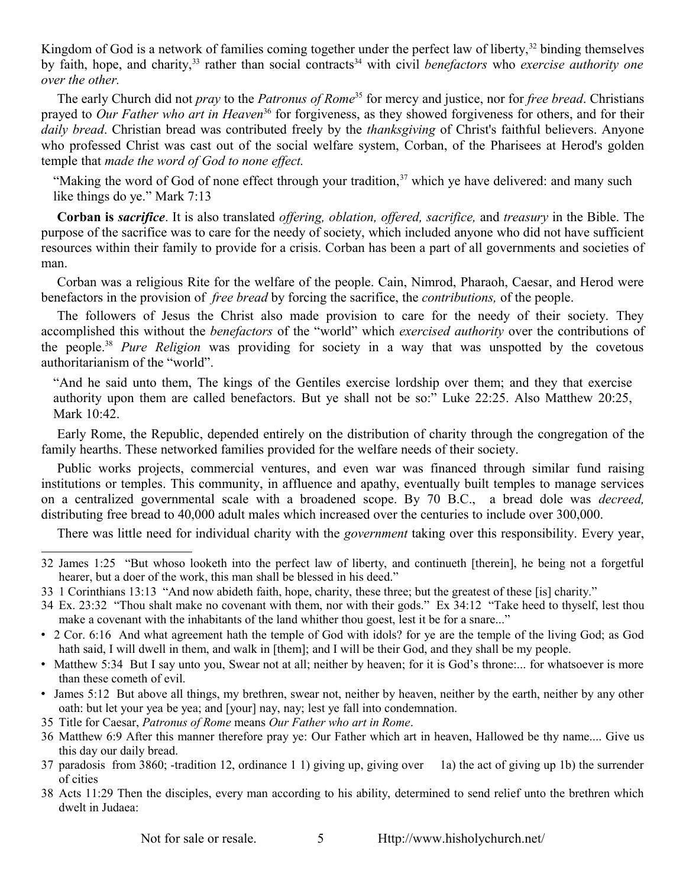Kingdom of God is a network of families coming together under the perfect law of liberty,<sup>[32](#page-5-0)</sup> binding themselves by faith, hope, and charity,<sup>[33](#page-5-1)</sup> rather than social contracts<sup>[34](#page-5-2)</sup> with civil *benefactors* who *exercise authority one over the other.*

The early Church did not *pray* to the *Patronus of Rome*[35](#page-5-3) for mercy and justice, nor for *free bread*. Christians prayed to *Our Father who art in Heaven*<sup>[36](#page-5-4)</sup> for forgiveness, as they showed forgiveness for others, and for their *daily bread*. Christian bread was contributed freely by the *thanksgiving* of Christ's faithful believers. Anyone who professed Christ was cast out of the social welfare system, Corban, of the Pharisees at Herod's golden temple that *made the word of God to none effect.*

"Making the word of God of none effect through your tradition, $37$  which ye have delivered: and many such like things do ye." Mark 7:13

**Corban is** *sacrifice*. It is also translated *offering, oblation, offered, sacrifice,* and *treasury* in the Bible. The purpose of the sacrifice was to care for the needy of society, which included anyone who did not have sufficient resources within their family to provide for a crisis. Corban has been a part of all governments and societies of man.

Corban was a religious Rite for the welfare of the people. Cain, Nimrod, Pharaoh, Caesar, and Herod were benefactors in the provision of *free bread* by forcing the sacrifice, the *contributions,* of the people.

The followers of Jesus the Christ also made provision to care for the needy of their society. They accomplished this without the *benefactors* of the "world" which *exercised authority* over the contributions of the people.[38](#page-5-6) *Pure Religion* was providing for society in a way that was unspotted by the covetous authoritarianism of the "world".

"And he said unto them, The kings of the Gentiles exercise lordship over them; and they that exercise authority upon them are called benefactors. But ye shall not be so:" Luke 22:25. Also Matthew 20:25, Mark 10:42.

Early Rome, the Republic, depended entirely on the distribution of charity through the congregation of the family hearths. These networked families provided for the welfare needs of their society.

Public works projects, commercial ventures, and even war was financed through similar fund raising institutions or temples. This community, in affluence and apathy, eventually built temples to manage services on a centralized governmental scale with a broadened scope. By 70 B.C., a bread dole was *decreed,* distributing free bread to 40,000 adult males which increased over the centuries to include over 300,000.

There was little need for individual charity with the *government* taking over this responsibility. Every year,

<span id="page-5-0"></span><sup>32</sup> James 1:25 "But whoso looketh into the perfect law of liberty, and continueth [therein], he being not a forgetful hearer, but a doer of the work, this man shall be blessed in his deed."

<span id="page-5-1"></span><sup>33</sup> 1 Corinthians 13:13 "And now abideth faith, hope, charity, these three; but the greatest of these [is] charity."

<span id="page-5-2"></span><sup>34</sup> Ex. 23:32 "Thou shalt make no covenant with them, nor with their gods." Ex 34:12 "Take heed to thyself, lest thou make a covenant with the inhabitants of the land whither thou goest, lest it be for a snare..."

<sup>•</sup> 2 Cor. 6:16 And what agreement hath the temple of God with idols? for ye are the temple of the living God; as God hath said, I will dwell in them, and walk in [them]; and I will be their God, and they shall be my people.

<sup>•</sup> Matthew 5:34 But I say unto you, Swear not at all; neither by heaven; for it is God's throne:... for whatsoever is more than these cometh of evil.

<sup>•</sup> James 5:12 But above all things, my brethren, swear not, neither by heaven, neither by the earth, neither by any other oath: but let your yea be yea; and [your] nay, nay; lest ye fall into condemnation.

<span id="page-5-3"></span><sup>35</sup> Title for Caesar, *Patronus of Rome* means *Our Father who art in Rome*.

<span id="page-5-4"></span><sup>36</sup> Matthew 6:9 After this manner therefore pray ye: Our Father which art in heaven, Hallowed be thy name.... Give us this day our daily bread.

<span id="page-5-5"></span><sup>37</sup> paradosis from 3860; -tradition 12, ordinance 1 1) giving up, giving over 1a) the act of giving up 1b) the surrender of cities

<span id="page-5-6"></span><sup>38</sup> Acts 11:29 Then the disciples, every man according to his ability, determined to send relief unto the brethren which dwelt in Judaea: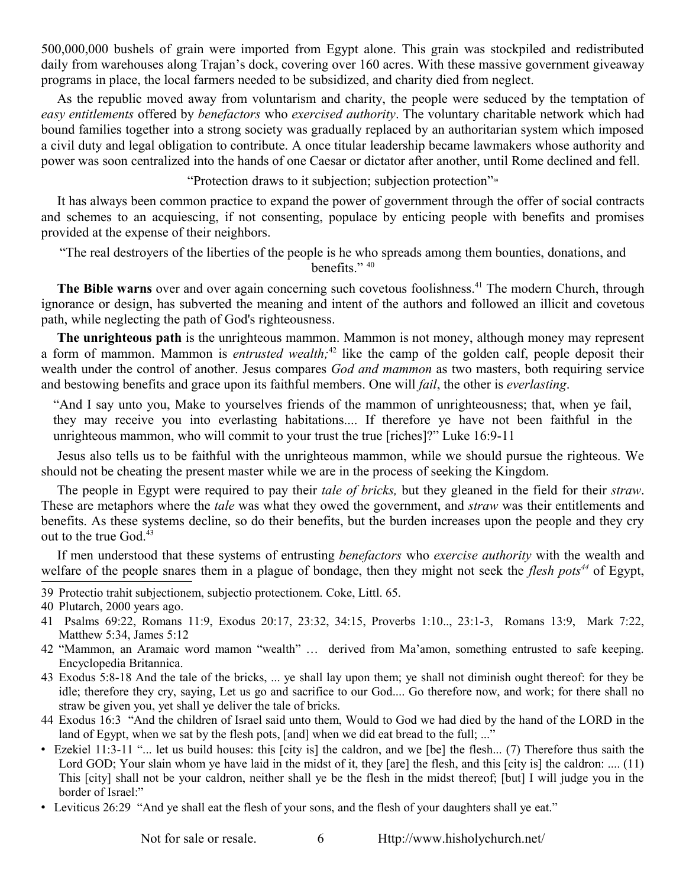500,000,000 bushels of grain were imported from Egypt alone. This grain was stockpiled and redistributed daily from warehouses along Trajan's dock, covering over 160 acres. With these massive government giveaway programs in place, the local farmers needed to be subsidized, and charity died from neglect.

As the republic moved away from voluntarism and charity, the people were seduced by the temptation of *easy entitlements* offered by *benefactors* who *exercised authority*. The voluntary charitable network which had bound families together into a strong society was gradually replaced by an authoritarian system which imposed a civil duty and legal obligation to contribute. A once titular leadership became lawmakers whose authority and power was soon centralized into the hands of one Caesar or dictator after another, until Rome declined and fell.

"Protection draws to it subjection; subjection protection"<sup>[39](#page-6-0)</sup>

It has always been common practice to expand the power of government through the offer of social contracts and schemes to an acquiescing, if not consenting, populace by enticing people with benefits and promises provided at the expense of their neighbors.

"The real destroyers of the liberties of the people is he who spreads among them bounties, donations, and henefits<sup>"</sup>

The Bible warns over and over again concerning such covetous foolishness.<sup>[41](#page-6-2)</sup> The modern Church, through ignorance or design, has subverted the meaning and intent of the authors and followed an illicit and covetous path, while neglecting the path of God's righteousness.

**The unrighteous path** is the unrighteous mammon. Mammon is not money, although money may represent a form of mammon. Mammon is *entrusted wealth;*[42](#page-6-3) like the camp of the golden calf, people deposit their wealth under the control of another. Jesus compares *God and mammon* as two masters, both requiring service and bestowing benefits and grace upon its faithful members. One will *fail*, the other is *everlasting*.

"And I say unto you, Make to yourselves friends of the mammon of unrighteousness; that, when ye fail, they may receive you into everlasting habitations.... If therefore ye have not been faithful in the unrighteous mammon, who will commit to your trust the true [riches]?" Luke 16:9-11

Jesus also tells us to be faithful with the unrighteous mammon, while we should pursue the righteous. We should not be cheating the present master while we are in the process of seeking the Kingdom.

The people in Egypt were required to pay their *tale of bricks,* but they gleaned in the field for their *straw*. These are metaphors where the *tale* was what they owed the government, and *straw* was their entitlements and benefits. As these systems decline, so do their benefits, but the burden increases upon the people and they cry out to the true God.<sup>[43](#page-6-4)</sup>

If men understood that these systems of entrusting *benefactors* who *exercise authority* with the wealth and welfare of the people snares them in a plague of bondage, then they might not seek the *flesh pots[44](#page-6-5)* of Egypt,

<span id="page-6-0"></span>39 Protectio trahit subjectionem, subjectio protectionem. Coke, Littl. 65.

- <span id="page-6-2"></span>41 Psalms 69:22, Romans 11:9, Exodus 20:17, 23:32, 34:15, Proverbs 1:10.., 23:1-3, Romans 13:9, Mark 7:22, Matthew 5:34, James 5:12
- <span id="page-6-3"></span>42 "Mammon, an Aramaic word mamon "wealth" … derived from Ma'amon, something entrusted to safe keeping. Encyclopedia Britannica.
- <span id="page-6-4"></span>43 Exodus 5:8-18 And the tale of the bricks, ... ye shall lay upon them; ye shall not diminish ought thereof: for they be idle; therefore they cry, saying, Let us go and sacrifice to our God.... Go therefore now, and work; for there shall no straw be given you, yet shall ye deliver the tale of bricks.
- <span id="page-6-5"></span>44 Exodus 16:3 "And the children of Israel said unto them, Would to God we had died by the hand of the LORD in the land of Egypt, when we sat by the flesh pots, [and] when we did eat bread to the full; ..."
- Ezekiel 11:3-11 "... let us build houses: this [city is] the caldron, and we [be] the flesh... (7) Therefore thus saith the Lord GOD; Your slain whom ye have laid in the midst of it, they [are] the flesh, and this [city is] the caldron: .... (11) This [city] shall not be your caldron, neither shall ye be the flesh in the midst thereof; [but] I will judge you in the border of Israel:"
- Leviticus 26:29 "And ye shall eat the flesh of your sons, and the flesh of your daughters shall ye eat."

Not for sale or resale. 6 Http://www.hisholychurch.net/

<span id="page-6-1"></span><sup>40</sup> Plutarch, 2000 years ago.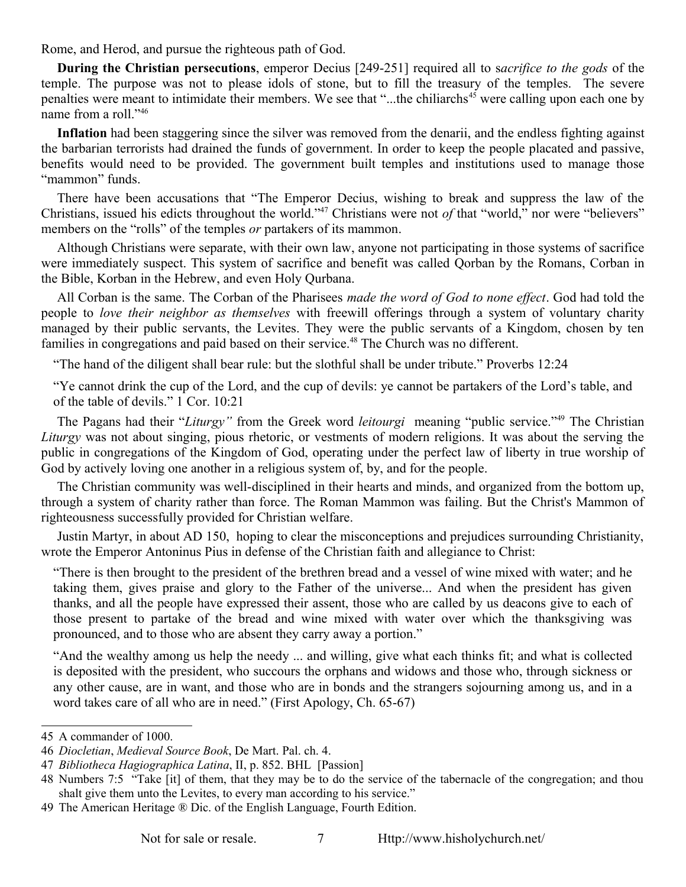Rome, and Herod, and pursue the righteous path of God.

**During the Christian persecutions**, emperor Decius [249-251] required all to s*acrifice to the gods* of the temple. The purpose was not to please idols of stone, but to fill the treasury of the temples. The severe penalties were meant to intimidate their members. We see that "...the chiliarchs<sup>[45](#page-7-0)</sup> were calling upon each one by name from a roll."<sup>[46](#page-7-1)</sup>

**Inflation** had been staggering since the silver was removed from the denarii, and the endless fighting against the barbarian terrorists had drained the funds of government. In order to keep the people placated and passive, benefits would need to be provided. The government built temples and institutions used to manage those "mammon" funds.

There have been accusations that "The Emperor Decius, wishing to break and suppress the law of the Christians, issued his edicts throughout the world."[47](#page-7-2) Christians were not *of* that "world," nor were "believers" members on the "rolls" of the temples *or* partakers of its mammon.

Although Christians were separate, with their own law, anyone not participating in those systems of sacrifice were immediately suspect. This system of sacrifice and benefit was called Qorban by the Romans, Corban in the Bible, Korban in the Hebrew, and even Holy Qurbana.

All Corban is the same. The Corban of the Pharisees *made the word of God to none effect*. God had told the people to *love their neighbor as themselves* with freewill offerings through a system of voluntary charity managed by their public servants, the Levites. They were the public servants of a Kingdom, chosen by ten families in congregations and paid based on their service.<sup>[48](#page-7-3)</sup> The Church was no different.

"The hand of the diligent shall bear rule: but the slothful shall be under tribute." Proverbs 12:24

"Ye cannot drink the cup of the Lord, and the cup of devils: ye cannot be partakers of the Lord's table, and of the table of devils." 1 Cor. 10:21

The Pagans had their "*Liturgy"* from the Greek word *leitourgi* meaning "public service."[49](#page-7-4) The Christian *Liturgy* was not about singing, pious rhetoric, or vestments of modern religions. It was about the serving the public in congregations of the Kingdom of God, operating under the perfect law of liberty in true worship of God by actively loving one another in a religious system of, by, and for the people.

The Christian community was well-disciplined in their hearts and minds, and organized from the bottom up, through a system of charity rather than force. The Roman Mammon was failing. But the Christ's Mammon of righteousness successfully provided for Christian welfare.

Justin Martyr, in about AD 150, hoping to clear the misconceptions and prejudices surrounding Christianity, wrote the Emperor Antoninus Pius in defense of the Christian faith and allegiance to Christ:

"There is then brought to the president of the brethren bread and a vessel of wine mixed with water; and he taking them, gives praise and glory to the Father of the universe... And when the president has given thanks, and all the people have expressed their assent, those who are called by us deacons give to each of those present to partake of the bread and wine mixed with water over which the thanksgiving was pronounced, and to those who are absent they carry away a portion."

"And the wealthy among us help the needy ... and willing, give what each thinks fit; and what is collected is deposited with the president, who succours the orphans and widows and those who, through sickness or any other cause, are in want, and those who are in bonds and the strangers sojourning among us, and in a word takes care of all who are in need." (First Apology, Ch. 65-67)

<span id="page-7-4"></span>49 The American Heritage ® Dic. of the English Language, Fourth Edition.

<span id="page-7-0"></span><sup>45</sup> A commander of 1000.

<span id="page-7-1"></span><sup>46</sup> *Diocletian*, *Medieval Source Book*, De Mart. Pal. ch. 4.

<span id="page-7-2"></span><sup>47</sup> *Bibliotheca Hagiographica Latina*, II, p. 852. BHL [Passion]

<span id="page-7-3"></span><sup>48</sup> Numbers 7:5 "Take [it] of them, that they may be to do the service of the tabernacle of the congregation; and thou shalt give them unto the Levites, to every man according to his service."